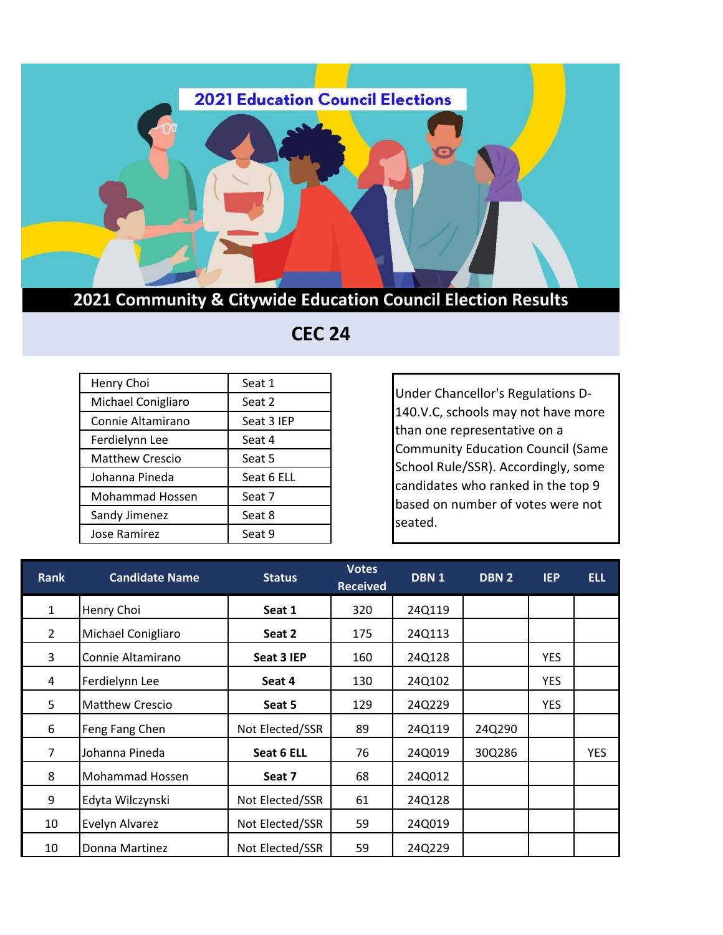

## **2021 Community & Citywide Education Council Election Results**

| Henry Choi             | Seat 1     |
|------------------------|------------|
| Michael Conigliaro     | Seat 2     |
| Connie Altamirano      | Seat 3 IEP |
| Ferdielynn Lee         | Seat 4     |
| <b>Matthew Crescio</b> | Seat 5     |
| Johanna Pineda         | Seat 6 ELL |
| <b>Mohammad Hossen</b> | Seat 7     |
| Sandy Jimenez          | Seat 8     |
| Jose Ramirez           | Seat 9     |

## **CEC 24**

Under Chancellor's Regulations D-140.V.C, schools may not have more than one representative on a Community Education Council (Same School Rule/SSR). Accordingly, some candidates who ranked in the top 9 based on number of votes were not seated.

| <b>Rank</b>    | <b>Candidate Name</b>  | <b>Status</b>   | <b>Votes</b><br><b>Received</b> | DBN 1  | DBN 2  | <b>IEP</b> | <b>ELL</b> |
|----------------|------------------------|-----------------|---------------------------------|--------|--------|------------|------------|
| $\mathbf{1}$   | Henry Choi             | Seat 1          | 320                             | 24Q119 |        |            |            |
| $\overline{2}$ | Michael Conigliaro     | Seat 2          | 175                             | 24Q113 |        |            |            |
| 3              | Connie Altamirano      | Seat 3 IEP      | 160                             | 24Q128 |        | <b>YES</b> |            |
| 4              | Ferdielynn Lee         | Seat 4          | 130                             | 24Q102 |        | <b>YES</b> |            |
| 5              | <b>Matthew Crescio</b> | Seat 5          | 129                             | 24Q229 |        | <b>YES</b> |            |
| 6              | Feng Fang Chen         | Not Elected/SSR | 89                              | 24Q119 | 24Q290 |            |            |
| $\overline{7}$ | Johanna Pineda         | Seat 6 ELL      | 76                              | 24Q019 | 30Q286 |            | <b>YES</b> |
| 8              | Mohammad Hossen        | Seat 7          | 68                              | 24Q012 |        |            |            |
| 9              | Edyta Wilczynski       | Not Elected/SSR | 61                              | 24Q128 |        |            |            |
| 10             | Evelyn Alvarez         | Not Elected/SSR | 59                              | 24Q019 |        |            |            |
| 10             | Donna Martinez         | Not Elected/SSR | 59                              | 24Q229 |        |            |            |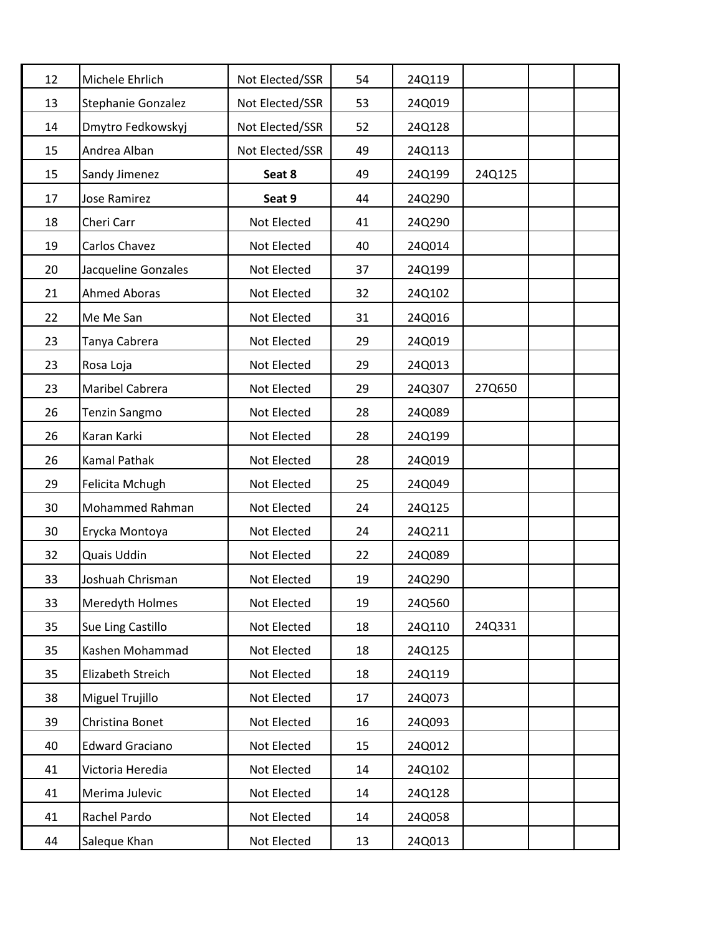| 12 | Michele Ehrlich        | Not Elected/SSR | 54 | 24Q119 |        |  |
|----|------------------------|-----------------|----|--------|--------|--|
| 13 | Stephanie Gonzalez     | Not Elected/SSR | 53 | 24Q019 |        |  |
| 14 | Dmytro Fedkowskyj      | Not Elected/SSR | 52 | 24Q128 |        |  |
| 15 | Andrea Alban           | Not Elected/SSR | 49 | 24Q113 |        |  |
| 15 | Sandy Jimenez          | Seat 8          | 49 | 24Q199 | 24Q125 |  |
| 17 | <b>Jose Ramirez</b>    | Seat 9          | 44 | 24Q290 |        |  |
| 18 | Cheri Carr             | Not Elected     | 41 | 24Q290 |        |  |
| 19 | Carlos Chavez          | Not Elected     | 40 | 24Q014 |        |  |
| 20 | Jacqueline Gonzales    | Not Elected     | 37 | 24Q199 |        |  |
| 21 | <b>Ahmed Aboras</b>    | Not Elected     | 32 | 24Q102 |        |  |
| 22 | Me Me San              | Not Elected     | 31 | 24Q016 |        |  |
| 23 | Tanya Cabrera          | Not Elected     | 29 | 24Q019 |        |  |
| 23 | Rosa Loja              | Not Elected     | 29 | 24Q013 |        |  |
| 23 | Maribel Cabrera        | Not Elected     | 29 | 24Q307 | 27Q650 |  |
| 26 | <b>Tenzin Sangmo</b>   | Not Elected     | 28 | 24Q089 |        |  |
| 26 | Karan Karki            | Not Elected     | 28 | 24Q199 |        |  |
| 26 | Kamal Pathak           | Not Elected     | 28 | 24Q019 |        |  |
| 29 | Felicita Mchugh        | Not Elected     | 25 | 24Q049 |        |  |
| 30 | Mohammed Rahman        | Not Elected     | 24 | 24Q125 |        |  |
| 30 | Erycka Montoya         | Not Elected     | 24 | 24Q211 |        |  |
| 32 | Quais Uddin            | Not Elected     | 22 | 24Q089 |        |  |
| 33 | Joshuah Chrisman       | Not Elected     | 19 | 24Q290 |        |  |
| 33 | Meredyth Holmes        | Not Elected     | 19 | 24Q560 |        |  |
| 35 | Sue Ling Castillo      | Not Elected     | 18 | 24Q110 | 24Q331 |  |
| 35 | Kashen Mohammad        | Not Elected     | 18 | 24Q125 |        |  |
| 35 | Elizabeth Streich      | Not Elected     | 18 | 24Q119 |        |  |
| 38 | Miguel Trujillo        | Not Elected     | 17 | 24Q073 |        |  |
| 39 | Christina Bonet        | Not Elected     | 16 | 24Q093 |        |  |
| 40 | <b>Edward Graciano</b> | Not Elected     | 15 | 24Q012 |        |  |
| 41 | Victoria Heredia       | Not Elected     | 14 | 24Q102 |        |  |
| 41 | Merima Julevic         | Not Elected     | 14 | 24Q128 |        |  |
| 41 | Rachel Pardo           | Not Elected     | 14 | 24Q058 |        |  |
| 44 | Saleque Khan           | Not Elected     | 13 | 24Q013 |        |  |